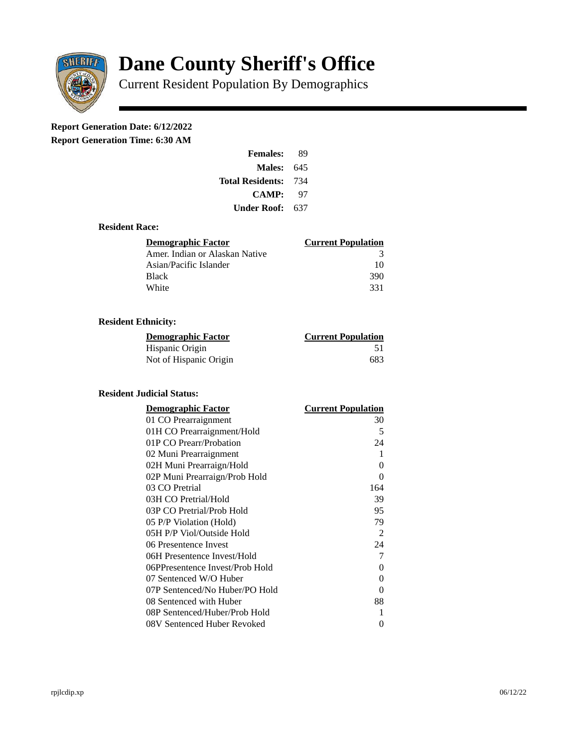

# **Dane County Sheriff's Office**

Current Resident Population By Demographics

## **Report Generation Date: 6/12/2022**

**Report Generation Time: 6:30 AM** 

| <b>Females:</b>         | 89  |
|-------------------------|-----|
| Males:                  | 645 |
| <b>Total Residents:</b> | 734 |
| <b>CAMP:</b>            | 97  |
| Under Roof: \           | 637 |

#### **Resident Race:**

| Demographic Factor             | <b>Current Population</b> |
|--------------------------------|---------------------------|
| Amer. Indian or Alaskan Native | З                         |
| Asian/Pacific Islander         | 10                        |
| Black                          | 390                       |
| White                          | 331                       |

### **Resident Ethnicity:**

| <u>Demographic Factor</u> | <b>Current Population</b> |
|---------------------------|---------------------------|
| Hispanic Origin           | -51                       |
| Not of Hispanic Origin    | 683                       |

#### **Resident Judicial Status:**

| <b>Demographic Factor</b>       | <b>Current Population</b> |
|---------------------------------|---------------------------|
| 01 CO Prearraignment            | 30                        |
| 01H CO Prearraignment/Hold      | 5                         |
| 01P CO Prearr/Probation         | 24                        |
| 02 Muni Prearraignment          | 1                         |
| 02H Muni Prearraign/Hold        | 0                         |
| 02P Muni Prearraign/Prob Hold   | 0                         |
| 03 CO Pretrial                  | 164                       |
| 03H CO Pretrial/Hold            | 39                        |
| 03P CO Pretrial/Prob Hold       | 95                        |
| 05 P/P Violation (Hold)         | 79                        |
| 05H P/P Viol/Outside Hold       | 2                         |
| 06 Presentence Invest           | 24                        |
| 06H Presentence Invest/Hold     | 7                         |
| 06PPresentence Invest/Prob Hold | 0                         |
| 07 Sentenced W/O Huber          | 0                         |
| 07P Sentenced/No Huber/PO Hold  | 0                         |
| 08 Sentenced with Huber         | 88                        |
| 08P Sentenced/Huber/Prob Hold   | 1                         |
| 08V Sentenced Huber Revoked     | 0                         |